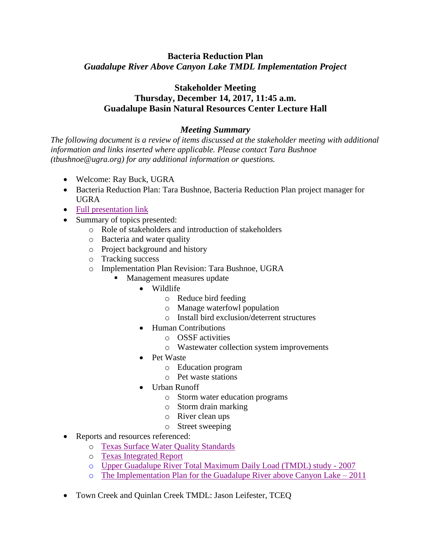## **Bacteria Reduction Plan** *Guadalupe River Above Canyon Lake TMDL Implementation Project*

## **Stakeholder Meeting Thursday, December 14, 2017, 11:45 a.m. Guadalupe Basin Natural Resources Center Lecture Hall**

## *Meeting Summary*

*The following document is a review of items discussed at the stakeholder meeting with additional information and links inserted where applicable. Please contact Tara Bushnoe (tbushnoe@ugra.org) for any additional information or questions.*

- Welcome: Ray Buck, UGRA
- Bacteria Reduction Plan: Tara Bushnoe, Bacteria Reduction Plan project manager for UGRA
- [Full presentation](http://www.ugra.org/images/pdf/BacteriaPlanStakeholders121417web.pdf) link
- Summary of topics presented:
	- o Role of stakeholders and introduction of stakeholders
	- o Bacteria and water quality
	- o Project background and history
	- o Tracking success
	- o Implementation Plan Revision: Tara Bushnoe, UGRA
		- Management measures update
			- Wildlife
				- o Reduce bird feeding
				- o Manage waterfowl population
				- o Install bird exclusion/deterrent structures
				- Human Contributions
					- o OSSF activities
					- o Wastewater collection system improvements
				- Pet Waste
					- o Education program
					- o Pet waste stations
				- Urban Runoff
					- o Storm water education programs
					- o Storm drain marking
					- o River clean ups
					- o Street sweeping
- Reports and resources referenced:
	- o [Texas Surface Water Quality Standards](https://www.tceq.texas.gov/waterquality/standards)
	- o [Texas Integrated Report](https://www.tceq.texas.gov/waterquality/assessment)
	- o [Upper Guadalupe River Total Maximum Daily Load \(TMDL\) study -](http://www.ugra.org/images/pdf/TMDLadopted072507.pdf) 2007
	- o [The Implementation Plan for the Guadalupe River above Canyon Lake –](http://www.ugra.org/images/pdf/IPlanAug2011.pdf) 2011
- Town Creek and Quinlan Creek TMDL: Jason Leifester, TCEQ